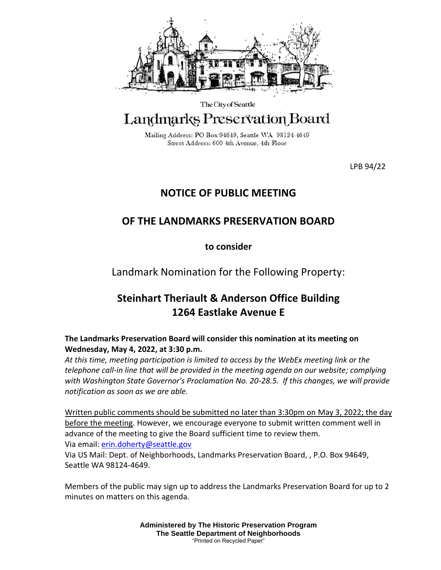

The City of Seattle

## Landmarks Preservation Board

Mailing Address: PO Box 94649, Seattle WA 98124-4649 Street Address: 600 4th Avenue, 4th Floor

LPB 94/22

## **NOTICE OF PUBLIC MEETING**

## **OF THE LANDMARKS PRESERVATION BOARD**

**to consider**

Landmark Nomination for the Following Property:

## **Steinhart Theriault & Anderson Office Building 1264 Eastlake Avenue E**

**The Landmarks Preservation Board will consider this nomination at its meeting on Wednesday, May 4, 2022, at 3:30 p.m.** 

*At this time, meeting participation is limited to access by the WebEx meeting link or the telephone call-in line that will be provided in the meeting agenda on our website; complying with Washington State Governor's Proclamation No. 20-28.5. If this changes, we will provide notification as soon as we are able.*

Written public comments should be submitted no later than 3:30pm on May 3, 2022; the day before the meeting. However, we encourage everyone to submit written comment well in advance of the meeting to give the Board sufficient time to review them. Via email: [erin.doherty@seattle.gov](mailto:erin.doherty@seattle.gov)

Via US Mail: Dept. of Neighborhoods, Landmarks Preservation Board, , P.O. Box 94649, Seattle WA 98124-4649.

Members of the public may sign up to address the Landmarks Preservation Board for up to 2 minutes on matters on this agenda.

> **Administered by The Historic Preservation Program The Seattle Department of Neighborhoods** "Printed on Recycled Paper"